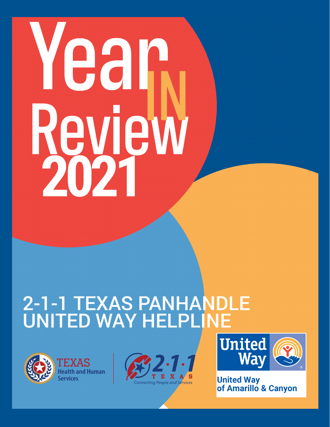# Yean **Review**

# 2-1-1 TEXAS PANHANDLE







**United Way<br>of Amarillo & Canyon**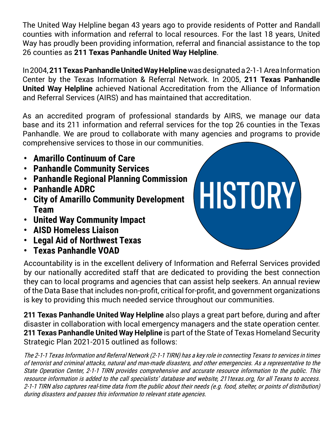The United Way Helpline began 43 years ago to provide residents of Potter and Randall counties with information and referral to local resources. For the last 18 years, United Way has proudly been providing information, referral and financial assistance to the top 26 counties as **211 Texas Panhandle United Way Helpline**.

In 2004, **211 Texas Panhandle United Way Helpline** was designated a 2-1-1 Area Information Center by the Texas Information & Referral Network. In 2005, **211 Texas Panhandle United Way Helpline** achieved National Accreditation from the Alliance of Information and Referral Services (AIRS) and has maintained that accreditation.

As an accredited program of professional standards by AIRS, we manage our data base and its 211 information and referral services for the top 26 counties in the Texas Panhandle. We are proud to collaborate with many agencies and programs to provide comprehensive services to those in our communities.

HISTORY

- **• Amarillo Continuum of Care**
- **• Panhandle Community Services**
- **• Panhandle Regional Planning Commission**
- **• Panhandle ADRC**
- **• City of Amarillo Community Development Team**
- **• United Way Community Impact**
- **• AISD Homeless Liaison**
- **• Legal Aid of Northwest Texas**
- **• Texas Panhandle VOAD**

Accountability is in the excellent delivery of Information and Referral Services provided by our nationally accredited staff that are dedicated to providing the best connection they can to local programs and agencies that can assist help seekers. An annual review of the Data Base that includes non-profit, critical for-profit, and government organizations is key to providing this much needed service throughout our communities.

**211 Texas Panhandle United Way Helpline** also plays a great part before, during and after disaster in collaboration with local emergency managers and the state operation center. **211 Texas Panhandle United Way Helpline** is part of the State of Texas Homeland Security Strategic Plan 2021-2015 outlined as follows:

The 2-1-1 Texas Information and Referral Network (2-1-1 TIRN) has a key role in connecting Texans to services in times of terrorist and criminal attacks, natural and man-made disasters, and other emergencies. As a representative to the State Operation Center, 2-1-1 TIRN provides comprehensive and accurate resource information to the public. This resource information is added to the call specialists' database and website, 211texas.org, for all Texans to access. 2-1-1 TIRN also captures real-time data from the public about their needs (e.g. food, shelter, or points of distribution) during disasters and passes this information to relevant state agencies.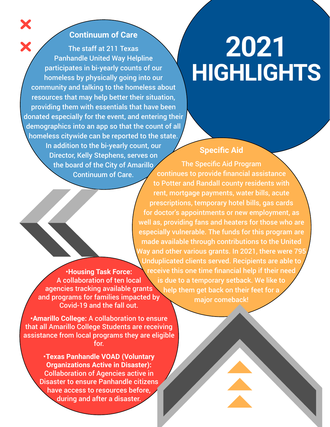#### **Continuum of Care**

X

The staff at 211 Texas Panhandle United Way Helpline participates in bi-yearly counts of our homeless by physically going into our community and talking to the homeless about resources that may help better their situation, providing them with essentials that have been donated especially for the event, and entering their demographics into an app so that the count of all homeless citywide can be reported to the state. In addition to the bi-yearly count, our Director, Kelly Stephens, serves on the board of the City of Amarillo Continuum of Care.

### **2021 HIGHLIGHTS**

#### **Specific Aid**

**•Housing Task Force:**  A collaboration of ten local agencies tracking available grants and programs for families impacted by Covid-19 and the fall out. The Specific Aid Program continues to provide financial assistance to Potter and Randall county residents with rent, mortgage payments, water bills, acute prescriptions, temporary hotel bills, gas cards for doctor's appointments or new employment, as well as, providing fans and heaters for those who are especially vulnerable. The funds for this program are made available through contributions to the United Way and other various grants. In 2021, there were 795 Unduplicated clients served. Recipients are able to receive this one time financial help if their need is due to a temporary setback. We like to help them get back on their feet for a major comeback!

**•Amarillo College:** A collaboration to ensure that all Amarillo College Students are receiving assistance from local programs they are eligible for.

> **•Texas Panhandle VOAD (Voluntary Organizations Active in Disaster):**  Collaboration of Agencies active in Disaster to ensure Panhandle citizens have access to resources before, during and after a disaster.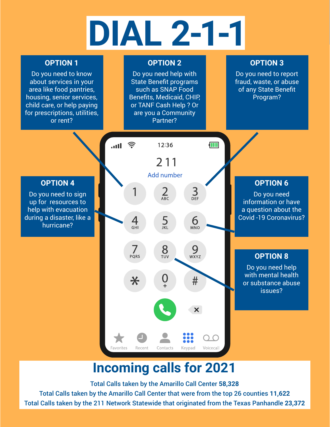## **DIAL 2-1-1**

#### **OPTION 1**

Do you need to know about services in your area like food pantries, housing, senior services, child care, or help paying for prescriptions, utilities, or rent?

#### **OPTION 2**

Do you need help with State Benefit programs such as SNAP Food Benefits, Medicaid, CHIP, or TANF Cash Help ? Or are you a Community Partner?

#### **OPTION 3**

Do you need to report fraud, waste, or abuse of any State Benefit Program?



#### **Incoming calls for 2021**

Total Calls taken by the Amarillo Call Center **58,328** Total Calls taken by the Amarillo Call Center that were from the top 26 counties **11,622** Total Calls taken by the 211 Network Statewide that originated from the Texas Panhandle **23,372**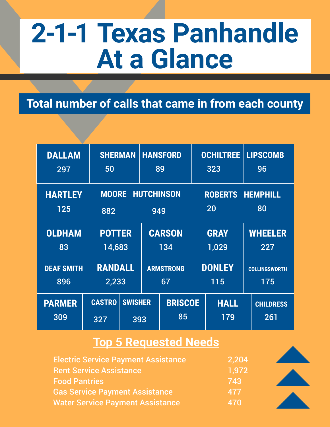## **2-1-1 Texas Panhandle At a Glance**

#### **Total number of calls that came in from each county**

| <b>DALLAM</b><br>297     | 50                      | <b>SHERMAN</b>          |                      | <b>HANSFORD</b><br>89    |                      | <b>OCHILTREE</b><br>323 |                       | <b>LIPSCOMB</b><br>96       |  |
|--------------------------|-------------------------|-------------------------|----------------------|--------------------------|----------------------|-------------------------|-----------------------|-----------------------------|--|
| <b>HARTLEY</b><br>125    | 882                     | <b>MOORE</b>            |                      | <b>HUTCHINSON</b><br>949 |                      | <b>ROBERTS</b><br>20    |                       | <b>HEMPHILL</b><br>80       |  |
| <b>OLDHAM</b><br>83      | <b>POTTER</b><br>14,683 |                         | <b>CARSON</b><br>134 |                          | <b>GRAY</b><br>1,029 |                         | <b>WHEELER</b><br>227 |                             |  |
| <b>DEAF SMITH</b><br>896 |                         | <b>RANDALL</b><br>2,233 |                      | <b>ARMSTRONG</b><br>67   |                      | <b>DONLEY</b><br>115    |                       | <b>COLLINGSWORTH</b><br>175 |  |
| <b>PARMER</b><br>309     | <b>CASTRO</b><br>327    | <b>SWISHER</b><br>393   |                      | <b>BRISCOE</b><br>85     |                      | <b>HALL</b><br>179      |                       | <b>CHILDRESS</b><br>261     |  |

#### **Top 5 Requested Needs**

| <b>Electric Service Payment Assistance</b> | 2,204 |
|--------------------------------------------|-------|
| <b>Rent Service Assistance</b>             | 1,972 |
| <b>Food Pantries</b>                       | 743   |
| <b>Gas Service Payment Assistance</b>      | 477   |
| <b>Water Service Payment Assistance</b>    | 470   |

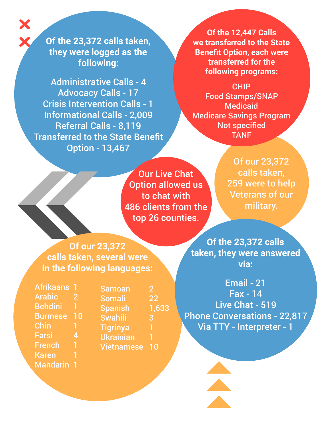**Of the 23,372 calls taken, they were logged as the following:** 

Administrative Calls - 4 Advocacy Calls - 17 Crisis Intervention Calls - 1 Informational Calls - 2,009 Referral Calls - 8,119 Transferred to the State Benefit Option - 13,467

**Of the 12,447 Calls we transferred to the State Benefit Option, each were transferred for the following programs:**

CHIP Food Stamps/SNAP Medicaid Medicare Savings Program Not specified TANF

Our Live Chat Option allowed us to chat with 486 clients from the top 26 counties.

Of our 23,372 calls taken, 259 were to help Veterans of our military.

**Of our 23,372 calls taken, several were in the following languages:**

Afrikaans 1 Arabic 2 Behdini 1 Burmese 10 Chin 1 Farsi 4 French 1 **Karen** Mandarin 1

Samoan 2 Somali 22 Spanish 1,633 Swahili 3 Tigrinya 1 Ukrainian 1 Vietnamese 10

**Of the 23,372 calls taken, they were answered via:**

Email - 21 Fax - 14 Live Chat - 519 Phone Conversations - 22,817 Via TTY - Interpreter - 1